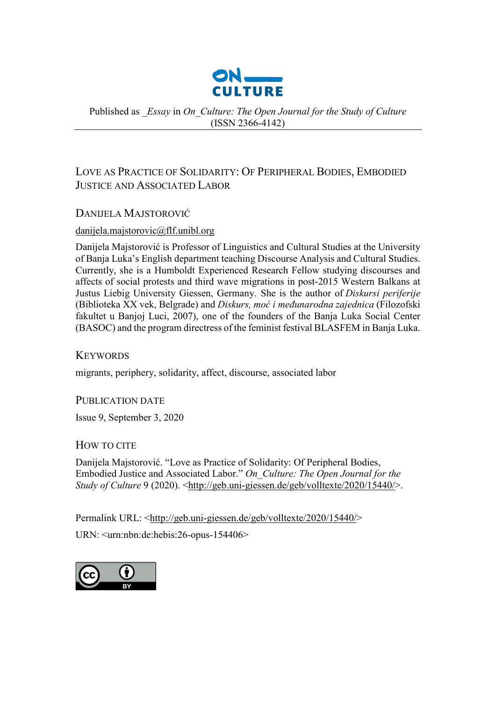

Published as *\_Essay* in *On\_Culture: The Open Journal for the Study of Culture*  (ISSN 2366-4142)

## LOVE AS PRACTICE OF SOLIDARITY: OF PERIPHERAL BODIES, EMBODIED JUSTICE AND ASSOCIATED LABOR

## DANIJELA MAJSTOROVIĆ

## [danijela.majstorovic@flf.unibl.org](mailto:danijela.majstorovic@flf.unibl.org)

Danijela Majstorović is Professor of Linguistics and Cultural Studies at the University of Banja Luka's English department teaching Discourse Analysis and Cultural Studies. Currently, she is a Humboldt Experienced Research Fellow studying discourses and affects of social protests and third wave migrations in post-2015 Western Balkans at Justus Liebig University Giessen, Germany. She is the author of *Diskursi periferije* (Biblioteka XX vek, Belgrade) and *Diskurs, moć i međunarodna zajednica* (Filozofski fakultet u Banjoj Luci, 2007), one of the founders of the Banja Luka Social Center (BASOC) and the program directress of the feminist festival BLASFEM in Banja Luka.

**KEYWORDS** 

migrants, periphery, solidarity, affect, discourse, associated labor

PUBLICATION DATE

Issue 9, September 3, 2020

## HOW TO CITE

Danijela Majstorović. "Love as Practice of Solidarity: Of Peripheral Bodies, Embodied Justice and Associated Labor." *On\_Culture: The Open Journal for the Study of Culture* 9 (2020). <http://geb.uni-[giessen.de/geb/volltexte/2020/15440/](http://geb.uni-giessen.de/geb/volltexte/2020/15440/)>.

Permalink URL: <http://geb.uni-[giessen.de/geb/volltexte/2020/15440/](http://geb.uni-giessen.de/geb/volltexte/2020/15440/)>

URN: <urn:nbn:de:hebis:26-opus-154406>

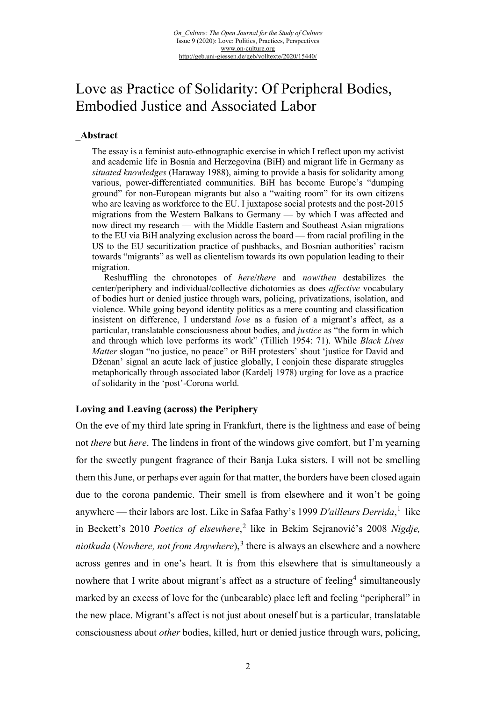# Love as Practice of Solidarity: Of Peripheral Bodies, Embodied Justice and Associated Labor

#### **\_Abstract**

The essay is a feminist auto-ethnographic exercise in which I reflect upon my activist and academic life in Bosnia and Herzegovina (BiH) and migrant life in Germany as *situated knowledges* (Haraway 1988), aiming to provide a basis for solidarity among various, power-differentiated communities. BiH has become Europe's "dumping ground" for non-European migrants but also a "waiting room" for its own citizens who are leaving as workforce to the EU. I juxtapose social protests and the post-2015 migrations from the Western Balkans to Germany — by which I was affected and now direct my research — with the Middle Eastern and Southeast Asian migrations to the EU via BiH analyzing exclusion across the board — from racial profiling in the US to the EU securitization practice of pushbacks, and Bosnian authorities' racism towards "migrants" as well as clientelism towards its own population leading to their migration.

Reshuffling the chronotopes of *here*/*there* and *now*/*then* destabilizes the center/periphery and individual/collective dichotomies as does *affective* vocabulary of bodies hurt or denied justice through wars, policing, privatizations, isolation, and violence. While going beyond identity politics as a mere counting and classification insistent on difference, I understand *love* as a fusion of a migrant's affect, as a particular, translatable consciousness about bodies, and *justice* as "the form in which and through which love performs its work" (Tillich 1954: 71). While *Black Lives Matter* slogan "no justice, no peace" or BiH protesters' shout 'justice for David and Dženan' signal an acute lack of justice globally, I conjoin these disparate struggles metaphorically through associated labor (Kardelj 1978) urging for love as a practice of solidarity in the 'post'-Corona world.

#### **Loving and Leaving (across) the Periphery**

On the eve of my third late spring in Frankfurt, there is the lightness and ease of being not *there* but *here*. The lindens in front of the windows give comfort, but I'm yearning for the sweetly pungent fragrance of their Banja Luka sisters. I will not be smelling them this June, or perhaps ever again for that matter, the borders have been closed again due to the corona pandemic. Their smell is from elsewhere and it won't be going anywhere — their labors are lost. Like in Safaa Fathy's [1](#page-16-0)999 *D'ailleurs Derrida*,<sup>1</sup> like in Beckett's 2010 *Poetics of elsewhere*, [2](#page-16-1) like in Bekim Sejranović's 2008 *Nigdje, niotkuda* (*Nowhere, not from Anywhere*),<sup>[3](#page-16-2)</sup> there is always an elsewhere and a nowhere across genres and in one's heart. It is from this elsewhere that is simultaneously a nowhere that I write about migrant's affect as a structure of feeling<sup>[4](#page-16-3)</sup> simultaneously marked by an excess of love for the (unbearable) place left and feeling "peripheral" in the new place. Migrant's affect is not just about oneself but is a particular, translatable consciousness about *other* bodies, killed, hurt or denied justice through wars, policing,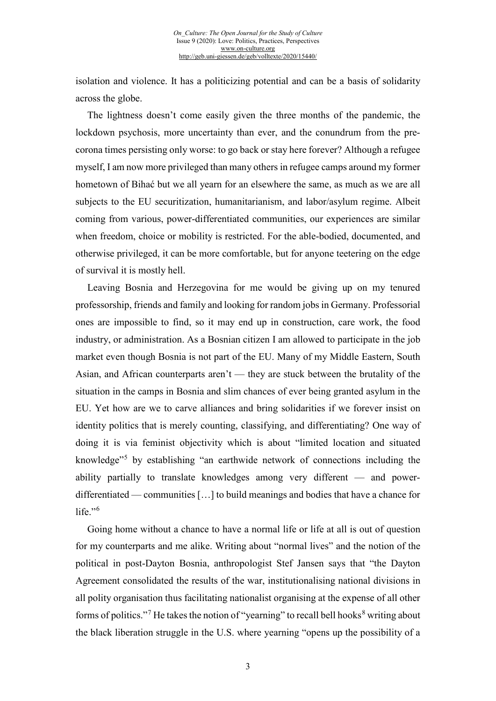isolation and violence. It has a politicizing potential and can be a basis of solidarity across the globe.

The lightness doesn't come easily given the three months of the pandemic, the lockdown psychosis, more uncertainty than ever, and the conundrum from the precorona times persisting only worse: to go back or stay here forever? Although a refugee myself, I am now more privileged than many others in refugee camps around my former hometown of Bihać but we all yearn for an elsewhere the same, as much as we are all subjects to the EU securitization, humanitarianism, and labor/asylum regime. Albeit coming from various, power-differentiated communities, our experiences are similar when freedom, choice or mobility is restricted. For the able-bodied, documented, and otherwise privileged, it can be more comfortable, but for anyone teetering on the edge of survival it is mostly hell.

Leaving Bosnia and Herzegovina for me would be giving up on my tenured professorship, friends and family and looking for random jobs in Germany. Professorial ones are impossible to find, so it may end up in construction, care work, the food industry, or administration. As a Bosnian citizen I am allowed to participate in the job market even though Bosnia is not part of the EU. Many of my Middle Eastern, South Asian, and African counterparts aren't — they are stuck between the brutality of the situation in the camps in Bosnia and slim chances of ever being granted asylum in the EU. Yet how are we to carve alliances and bring solidarities if we forever insist on identity politics that is merely counting, classifying, and differentiating? One way of doing it is via feminist objectivity which is about "limited location and situated knowledge"[5](#page-17-0) by establishing "an earthwide network of connections including the ability partially to translate knowledges among very different — and powerdifferentiated — communities […] to build meanings and bodies that have a chance for life." $6$ 

Going home without a chance to have a normal life or life at all is out of question for my counterparts and me alike. Writing about "normal lives" and the notion of the political in post-Dayton Bosnia, anthropologist Stef Jansen says that "the Dayton Agreement consolidated the results of the war, institutionalising national divisions in all polity organisation thus facilitating nationalist organising at the expense of all other forms of politics."<sup>[7](#page-17-2)</sup> He takes the notion of "yearning" to recall bell hooks<sup>[8](#page-17-3)</sup> writing about the black liberation struggle in the U.S. where yearning "opens up the possibility of a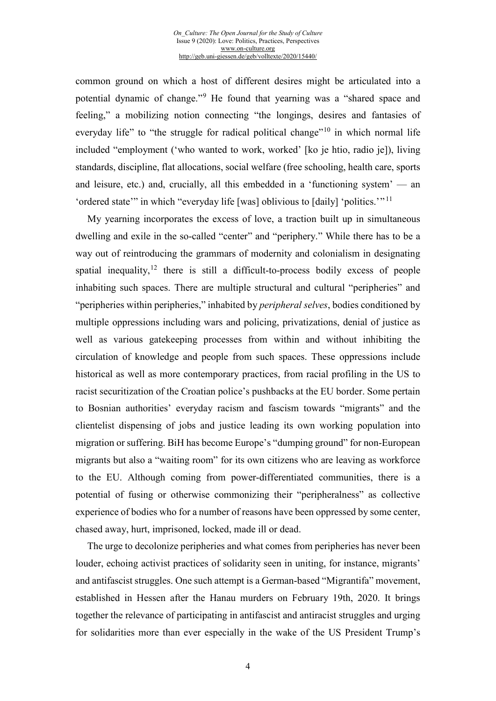common ground on which a host of different desires might be articulated into a potential dynamic of change."[9](#page-17-4) He found that yearning was a "shared space and feeling," a mobilizing notion connecting "the longings, desires and fantasies of everyday life" to "the struggle for radical political change"<sup>[10](#page-17-5)</sup> in which normal life included "employment ('who wanted to work, worked' [ko je htio, radio je]), living standards, discipline, flat allocations, social welfare (free schooling, health care, sports and leisure, etc.) and, crucially, all this embedded in a 'functioning system' — an 'ordered state'" in which "everyday life [was] oblivious to [daily] 'politics.'" [11](#page-17-6)

My yearning incorporates the excess of love, a traction built up in simultaneous dwelling and exile in the so-called "center" and "periphery." While there has to be a way out of reintroducing the grammars of modernity and colonialism in designating spatial inequality, $12$  there is still a difficult-to-process bodily excess of people inhabiting such spaces. There are multiple structural and cultural "peripheries" and "peripheries within peripheries," inhabited by *peripheral selves*, bodies conditioned by multiple oppressions including wars and policing, privatizations, denial of justice as well as various gatekeeping processes from within and without inhibiting the circulation of knowledge and people from such spaces. These oppressions include historical as well as more contemporary practices, from racial profiling in the US to racist securitization of the Croatian police's pushbacks at the EU border. Some pertain to Bosnian authorities' everyday racism and fascism towards "migrants" and the clientelist dispensing of jobs and justice leading its own working population into migration or suffering. BiH has become Europe's "dumping ground" for non-European migrants but also a "waiting room" for its own citizens who are leaving as workforce to the EU. Although coming from power-differentiated communities, there is a potential of fusing or otherwise commonizing their "peripheralness" as collective experience of bodies who for a number of reasons have been oppressed by some center, chased away, hurt, imprisoned, locked, made ill or dead.

The urge to decolonize peripheries and what comes from peripheries has never been louder, echoing activist practices of solidarity seen in uniting, for instance, migrants' and antifascist struggles. One such attempt is a German-based "Migrantifa" movement, established in Hessen after the Hanau murders on February 19th, 2020. It brings together the relevance of participating in antifascist and antiracist struggles and urging for solidarities more than ever especially in the wake of the US President Trump's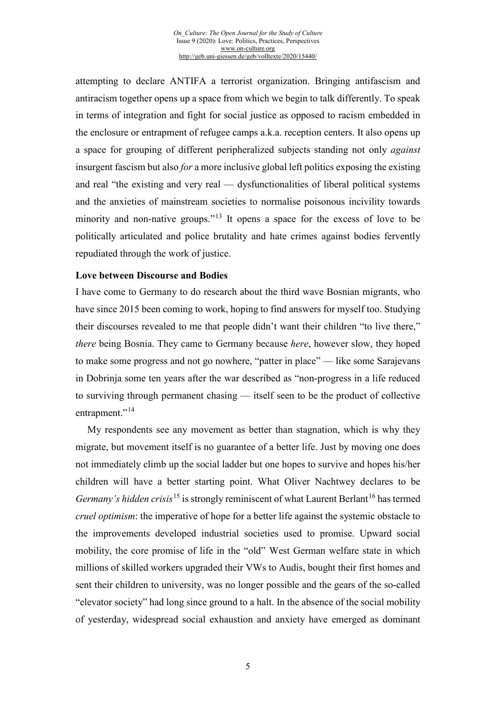attempting to declare ANTIFA a terrorist organization. Bringing antifascism and antiracism together opens up a space from which we begin to talk differently. To speak in terms of integration and fight for social justice as opposed to racism embedded in the enclosure or entrapment of refugee camps a.k.a. reception centers. It also opens up a space for grouping of different peripheralized subjects standing not only *against* insurgent fascism but also *for* a more inclusive global left politics exposing the existing and real "the existing and very real — dysfunctionalities of liberal political systems and the anxieties of mainstream societies to normalise poisonous incivility towards minority and non-native groups."<sup>[13](#page-17-8)</sup> It opens a space for the excess of love to be politically articulated and police brutality and hate crimes against bodies fervently repudiated through the work of justice.

#### **Love between Discourse and Bodies**

I have come to Germany to do research about the third wave Bosnian migrants, who have since 2015 been coming to work, hoping to find answers for myself too. Studying their discourses revealed to me that people didn't want their children "to live there," *there* being Bosnia. They came to Germany because *here*, however slow, they hoped to make some progress and not go nowhere, "patter in place" — like some Sarajevans in Dobrinja some ten years after the war described as "non-progress in a life reduced to surviving through permanent chasing — itself seen to be the product of collective entrapment."<sup>[14](#page-17-9)</sup>

My respondents see any movement as better than stagnation, which is why they migrate, but movement itself is no guarantee of a better life. Just by moving one does not immediately climb up the social ladder but one hopes to survive and hopes his/her children will have a better starting point. What Oliver Nachtwey declares to be *Germany's hidden crisis*<sup>[15](#page-17-10)</sup> is strongly reminiscent of what Laurent Berlant<sup>[16](#page-17-11)</sup> has termed *cruel optimism*: the imperative of hope for a better life against the systemic obstacle to the improvements developed industrial societies used to promise. Upward social mobility, the core promise of life in the "old" West German welfare state in which millions of skilled workers upgraded their VWs to Audis, bought their first homes and sent their children to university, was no longer possible and the gears of the so-called "elevator society" had long since ground to a halt. In the absence of the social mobility of yesterday, widespread social exhaustion and anxiety have emerged as dominant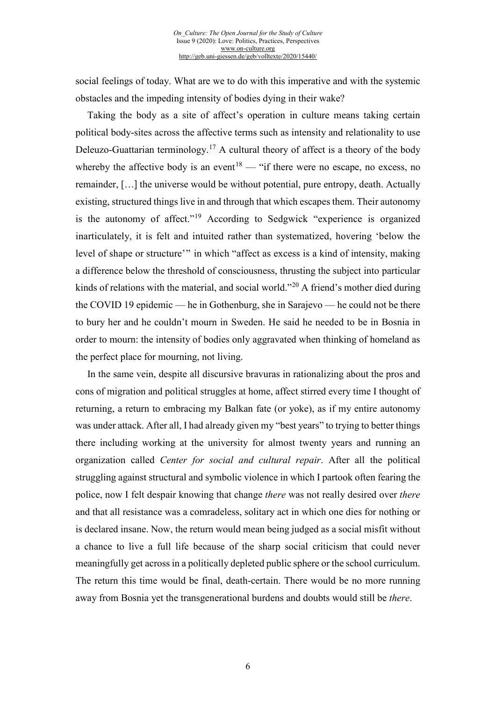social feelings of today. What are we to do with this imperative and with the systemic obstacles and the impeding intensity of bodies dying in their wake?

Taking the body as a site of affect's operation in culture means taking certain political body-sites across the affective terms such as intensity and relationality to use Deleuzo-Guattarian terminology.<sup>[17](#page-17-12)</sup> A cultural theory of affect is a theory of the body whereby the affective body is an event<sup>[18](#page-17-13)</sup> — "if there were no escape, no excess, no remainder, […] the universe would be without potential, pure entropy, death. Actually existing, structured things live in and through that which escapes them. Their autonomy is the autonomy of affect."[19](#page-17-14) According to Sedgwick "experience is organized inarticulately, it is felt and intuited rather than systematized, hovering 'below the level of shape or structure'" in which "affect as excess is a kind of intensity, making a difference below the threshold of consciousness, thrusting the subject into particular kinds of relations with the material, and social world."<sup>[20](#page-17-15)</sup> A friend's mother died during the COVID 19 epidemic — he in Gothenburg, she in Sarajevo — he could not be there to bury her and he couldn't mourn in Sweden. He said he needed to be in Bosnia in order to mourn: the intensity of bodies only aggravated when thinking of homeland as the perfect place for mourning, not living.

In the same vein, despite all discursive bravuras in rationalizing about the pros and cons of migration and political struggles at home, affect stirred every time I thought of returning, a return to embracing my Balkan fate (or yoke), as if my entire autonomy was under attack. After all, I had already given my "best years" to trying to better things there including working at the university for almost twenty years and running an organization called *Center for social and cultural repair*. After all the political struggling against structural and symbolic violence in which I partook often fearing the police, now I felt despair knowing that change *there* was not really desired over *there* and that all resistance was a comradeless, solitary act in which one dies for nothing or is declared insane. Now, the return would mean being judged as a social misfit without a chance to live a full life because of the sharp social criticism that could never meaningfully get across in a politically depleted public sphere or the school curriculum. The return this time would be final, death-certain. There would be no more running away from Bosnia yet the transgenerational burdens and doubts would still be *there*.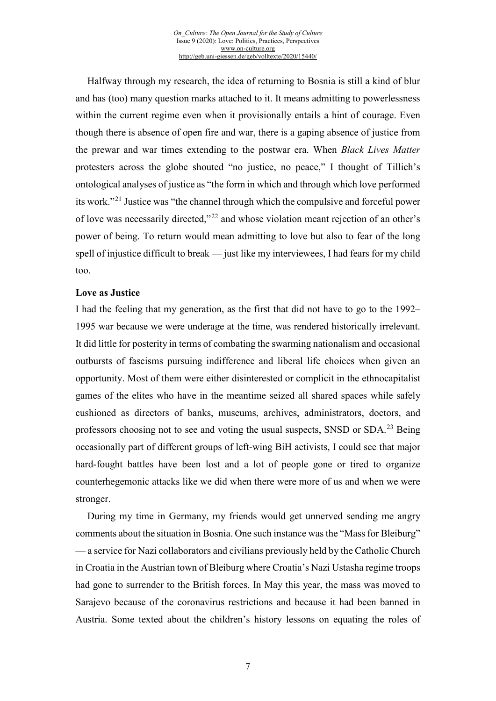Halfway through my research, the idea of returning to Bosnia is still a kind of blur and has (too) many question marks attached to it. It means admitting to powerlessness within the current regime even when it provisionally entails a hint of courage. Even though there is absence of open fire and war, there is a gaping absence of justice from the prewar and war times extending to the postwar era. When *Black Lives Matter*  protesters across the globe shouted "no justice, no peace," I thought of Tillich's ontological analyses of justice as "the form in which and through which love performed its work."[21](#page-17-16) Justice was "the channel through which the compulsive and forceful power of love was necessarily directed,"[22](#page-17-17) and whose violation meant rejection of an other's power of being. To return would mean admitting to love but also to fear of the long spell of injustice difficult to break — just like my interviewees, I had fears for my child too.

#### **Love as Justice**

I had the feeling that my generation, as the first that did not have to go to the 1992– 1995 war because we were underage at the time, was rendered historically irrelevant. It did little for posterity in terms of combating the swarming nationalism and occasional outbursts of fascisms pursuing indifference and liberal life choices when given an opportunity. Most of them were either disinterested or complicit in the ethnocapitalist games of the elites who have in the meantime seized all shared spaces while safely cushioned as directors of banks, museums, archives, administrators, doctors, and professors choosing not to see and voting the usual suspects, SNSD or SDA.[23](#page-17-18) Being occasionally part of different groups of left-wing BiH activists, I could see that major hard-fought battles have been lost and a lot of people gone or tired to organize counterhegemonic attacks like we did when there were more of us and when we were stronger.

During my time in Germany, my friends would get unnerved sending me angry comments about the situation in Bosnia. One such instance was the "Mass for Bleiburg" — a service for Nazi collaborators and civilians previously held by the Catholic Church in Croatia in the Austrian town of Bleiburg where Croatia's Nazi Ustasha regime troops had gone to surrender to the British forces. In May this year, the mass was moved to Sarajevo because of the coronavirus restrictions and because it had been banned in Austria. Some texted about the children's history lessons on equating the roles of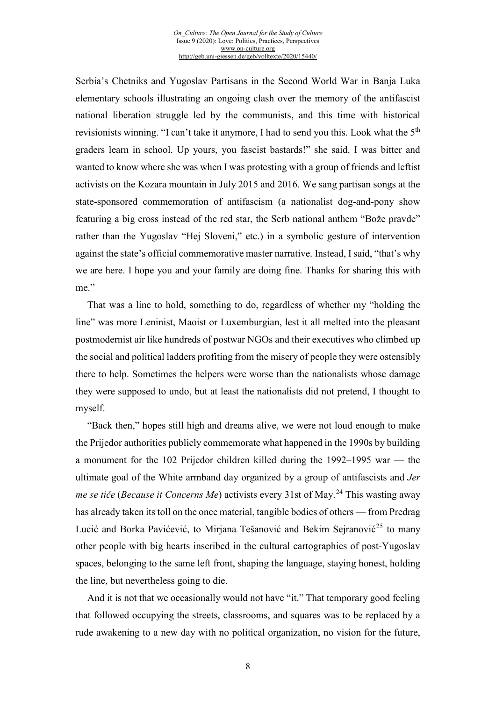Serbia's Chetniks and Yugoslav Partisans in the Second World War in Banja Luka elementary schools illustrating an ongoing clash over the memory of the antifascist national liberation struggle led by the communists, and this time with historical revisionists winning. "I can't take it anymore, I had to send you this. Look what the 5<sup>th</sup> graders learn in school. Up yours, you fascist bastards!" she said. I was bitter and wanted to know where she was when I was protesting with a group of friends and leftist activists on the Kozara mountain in July 2015 and 2016. We sang partisan songs at the state-sponsored commemoration of antifascism (a nationalist dog-and-pony show featuring a big cross instead of the red star, the Serb national anthem "Bože pravde" rather than the Yugoslav "Hej Sloveni," etc.) in a symbolic gesture of intervention against the state's official commemorative master narrative. Instead, I said, "that's why we are here. I hope you and your family are doing fine. Thanks for sharing this with me."

That was a line to hold, something to do, regardless of whether my "holding the line" was more Leninist, Maoist or Luxemburgian, lest it all melted into the pleasant postmodernist air like hundreds of postwar NGOs and their executives who climbed up the social and political ladders profiting from the misery of people they were ostensibly there to help. Sometimes the helpers were worse than the nationalists whose damage they were supposed to undo, but at least the nationalists did not pretend, I thought to myself.

"Back then," hopes still high and dreams alive, we were not loud enough to make the Prijedor authorities publicly commemorate what happened in the 1990s by building a monument for the 102 Prijedor children killed during the 1992–1995 war — the ultimate goal of the White armband day organized by a group of antifascists and *Jer me se tiče* (*Because it Concerns Me*) activists every 31st of May.<sup>[24](#page-17-19)</sup> This wasting away has already taken its toll on the once material, tangible bodies of others — from Predrag Lucić and Borka Pavićević, to Mirjana Tešanović and Bekim Sejranović<sup>[25](#page-17-20)</sup> to many other people with big hearts inscribed in the cultural cartographies of post-Yugoslav spaces, belonging to the same left front, shaping the language, staying honest, holding the line, but nevertheless going to die.

And it is not that we occasionally would not have "it." That temporary good feeling that followed occupying the streets, classrooms, and squares was to be replaced by a rude awakening to a new day with no political organization, no vision for the future,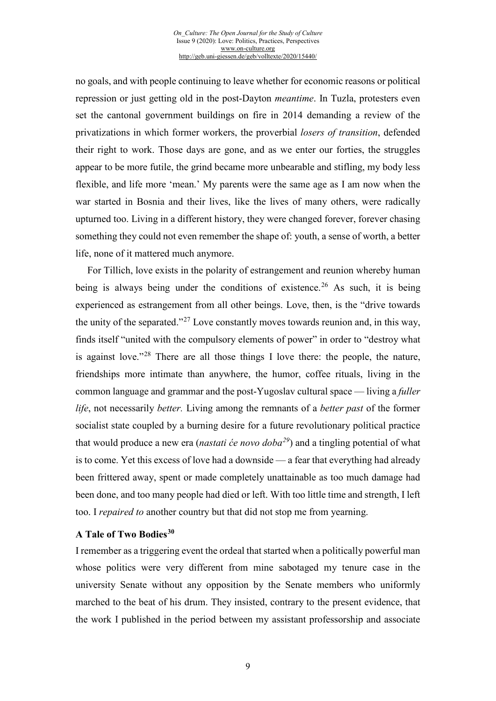no goals, and with people continuing to leave whether for economic reasons or political repression or just getting old in the post-Dayton *meantime*. In Tuzla, protesters even set the cantonal government buildings on fire in 2014 demanding a review of the privatizations in which former workers, the proverbial *losers of transition*, defended their right to work. Those days are gone, and as we enter our forties, the struggles appear to be more futile, the grind became more unbearable and stifling, my body less flexible, and life more 'mean.' My parents were the same age as I am now when the war started in Bosnia and their lives, like the lives of many others, were radically upturned too. Living in a different history, they were changed forever, forever chasing something they could not even remember the shape of: youth, a sense of worth, a better life, none of it mattered much anymore.

For Tillich, love exists in the polarity of estrangement and reunion whereby human being is always being under the conditions of existence.<sup>[26](#page-17-21)</sup> As such, it is being experienced as estrangement from all other beings. Love, then, is the "drive towards the unity of the separated."<sup>[27](#page-17-22)</sup> Love constantly moves towards reunion and, in this way, finds itself "united with the compulsory elements of power" in order to "destroy what is against love."[28](#page-17-23) There are all those things I love there: the people, the nature, friendships more intimate than anywhere, the humor, coffee rituals, living in the common language and grammar and the post-Yugoslav cultural space — living a *fuller life*, not necessarily *better.* Living among the remnants of a *better past* of the former socialist state coupled by a burning desire for a future revolutionary political practice that would produce a new era (*nastati će novo doba[29](#page-17-24)*) and a tingling potential of what is to come. Yet this excess of love had a downside — a fear that everything had already been frittered away, spent or made completely unattainable as too much damage had been done, and too many people had died or left. With too little time and strength, I left too. I *repaired to* another country but that did not stop me from yearning.

#### **A Tale of Two Bodies[30](#page-17-25)**

I remember as a triggering event the ordeal that started when a politically powerful man whose politics were very different from mine sabotaged my tenure case in the university Senate without any opposition by the Senate members who uniformly marched to the beat of his drum. They insisted, contrary to the present evidence, that the work I published in the period between my assistant professorship and associate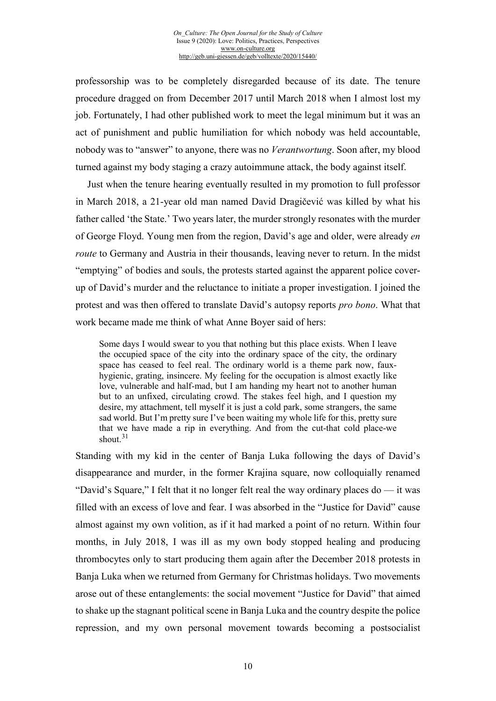professorship was to be completely disregarded because of its date. The tenure procedure dragged on from December 2017 until March 2018 when I almost lost my job. Fortunately, I had other published work to meet the legal minimum but it was an act of punishment and public humiliation for which nobody was held accountable, nobody was to "answer" to anyone, there was no *Verantwortung*. Soon after, my blood turned against my body staging a crazy autoimmune attack, the body against itself.

Just when the tenure hearing eventually resulted in my promotion to full professor in March 2018, a 21-year old man named David Dragičević was killed by what his father called 'the State.' Two years later, the murder strongly resonates with the murder of George Floyd. Young men from the region, David's age and older, were already *en route* to Germany and Austria in their thousands, leaving never to return. In the midst "emptying" of bodies and souls, the protests started against the apparent police coverup of David's murder and the reluctance to initiate a proper investigation. I joined the protest and was then offered to translate David's autopsy reports *pro bono*. What that work became made me think of what Anne Boyer said of hers:

Some days I would swear to you that nothing but this place exists. When I leave the occupied space of the city into the ordinary space of the city, the ordinary space has ceased to feel real. The ordinary world is a theme park now, fauxhygienic, grating, insincere. My feeling for the occupation is almost exactly like love, vulnerable and half-mad, but I am handing my heart not to another human but to an unfixed, circulating crowd. The stakes feel high, and I question my desire, my attachment, tell myself it is just a cold park, some strangers, the same sad world. But I'm pretty sure I've been waiting my whole life for this, pretty sure that we have made a rip in everything. And from the cut-that cold place-we shout. $31$ 

Standing with my kid in the center of Banja Luka following the days of David's disappearance and murder, in the former Krajina square, now colloquially renamed "David's Square," I felt that it no longer felt real the way ordinary places do — it was filled with an excess of love and fear. I was absorbed in the "Justice for David" cause almost against my own volition, as if it had marked a point of no return. Within four months, in July 2018, I was ill as my own body stopped healing and producing thrombocytes only to start producing them again after the December 2018 protests in Banja Luka when we returned from Germany for Christmas holidays. Two movements arose out of these entanglements: the social movement "Justice for David" that aimed to shake up the stagnant political scene in Banja Luka and the country despite the police repression, and my own personal movement towards becoming a postsocialist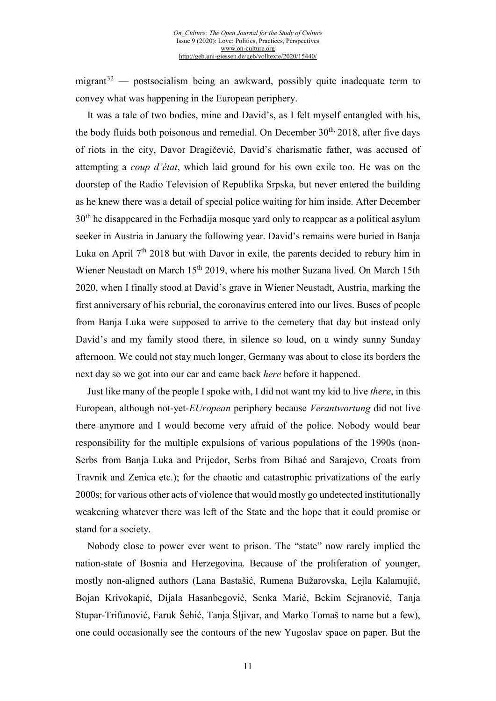migrant $32$  — postsocialism being an awkward, possibly quite inadequate term to convey what was happening in the European periphery.

It was a tale of two bodies, mine and David's, as I felt myself entangled with his, the body fluids both poisonous and remedial. On December 30<sup>th,</sup> 2018, after five days of riots in the city, Davor Dragičević, David's charismatic father, was accused of attempting a *coup d'état*, which laid ground for his own exile too. He was on the doorstep of the Radio Television of Republika Srpska, but never entered the building as he knew there was a detail of special police waiting for him inside. After December  $30<sup>th</sup>$  he disappeared in the Ferhadija mosque yard only to reappear as a political asylum seeker in Austria in January the following year. David's remains were buried in Banja Luka on April 7<sup>th</sup> 2018 but with Davor in exile, the parents decided to rebury him in Wiener Neustadt on March 15th 2019, where his mother Suzana lived. On March 15th 2020, when I finally stood at David's grave in Wiener Neustadt, Austria, marking the first anniversary of his reburial, the coronavirus entered into our lives. Buses of people from Banja Luka were supposed to arrive to the cemetery that day but instead only David's and my family stood there, in silence so loud, on a windy sunny Sunday afternoon. We could not stay much longer, Germany was about to close its borders the next day so we got into our car and came back *here* before it happened.

Just like many of the people I spoke with, I did not want my kid to live *there*, in this European, although not-yet-*EUropean* periphery because *Verantwortung* did not live there anymore and I would become very afraid of the police. Nobody would bear responsibility for the multiple expulsions of various populations of the 1990s (non-Serbs from Banja Luka and Prijedor, Serbs from Bihać and Sarajevo, Croats from Travnik and Zenica etc.); for the chaotic and catastrophic privatizations of the early 2000s; for various other acts of violence that would mostly go undetected institutionally weakening whatever there was left of the State and the hope that it could promise or stand for a society.

Nobody close to power ever went to prison. The "state" now rarely implied the nation-state of Bosnia and Herzegovina. Because of the proliferation of younger, mostly non-aligned authors (Lana Bastašić, Rumena Bužarovska, Lejla Kalamujić, Bojan Krivokapić, Dijala Hasanbegović, Senka Marić, Bekim Sejranović, Tanja Stupar-Trifunović, Faruk Šehić, Tanja Šljivar, and Marko Tomaš to name but a few), one could occasionally see the contours of the new Yugoslav space on paper. But the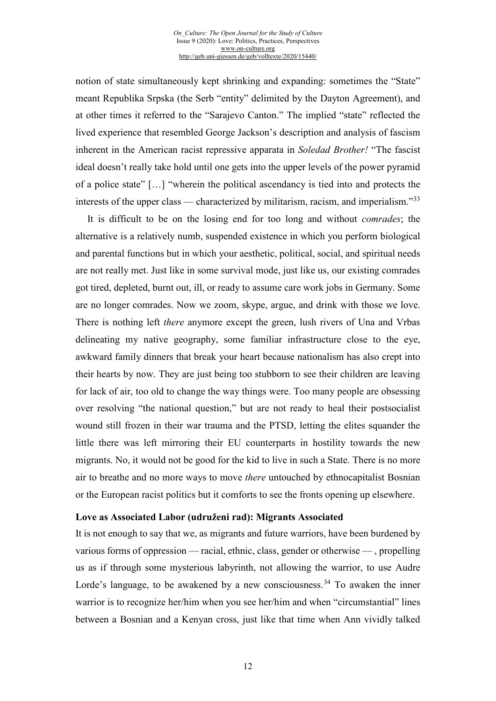notion of state simultaneously kept shrinking and expanding: sometimes the "State" meant Republika Srpska (the Serb "entity" delimited by the Dayton Agreement), and at other times it referred to the "Sarajevo Canton." The implied "state" reflected the lived experience that resembled George Jackson's description and analysis of fascism inherent in the American racist repressive apparata in *Soledad Brother!* "The fascist ideal doesn't really take hold until one gets into the upper levels of the power pyramid of a police state" […] "wherein the political ascendancy is tied into and protects the interests of the upper class — characterized by militarism, racism, and imperialism. $^{33}$  $^{33}$  $^{33}$ 

It is difficult to be on the losing end for too long and without *comrades*; the alternative is a relatively numb, suspended existence in which you perform biological and parental functions but in which your aesthetic, political, social, and spiritual needs are not really met. Just like in some survival mode, just like us, our existing comrades got tired, depleted, burnt out, ill, or ready to assume care work jobs in Germany. Some are no longer comrades. Now we zoom, skype, argue, and drink with those we love. There is nothing left *there* anymore except the green, lush rivers of Una and Vrbas delineating my native geography, some familiar infrastructure close to the eye, awkward family dinners that break your heart because nationalism has also crept into their hearts by now. They are just being too stubborn to see their children are leaving for lack of air, too old to change the way things were. Too many people are obsessing over resolving "the national question," but are not ready to heal their postsocialist wound still frozen in their war trauma and the PTSD, letting the elites squander the little there was left mirroring their EU counterparts in hostility towards the new migrants. No, it would not be good for the kid to live in such a State. There is no more air to breathe and no more ways to move *there* untouched by ethnocapitalist Bosnian or the European racist politics but it comforts to see the fronts opening up elsewhere.

#### **Love as Associated Labor (udruženi rad): Migrants Associated**

It is not enough to say that we, as migrants and future warriors, have been burdened by various forms of oppression — racial, ethnic, class, gender or otherwise — , propelling us as if through some mysterious labyrinth, not allowing the warrior, to use Audre Lorde's language, to be awakened by a new consciousness.<sup>[34](#page-17-28)</sup> To awaken the inner warrior is to recognize her/him when you see her/him and when "circumstantial" lines between a Bosnian and a Kenyan cross, just like that time when Ann vividly talked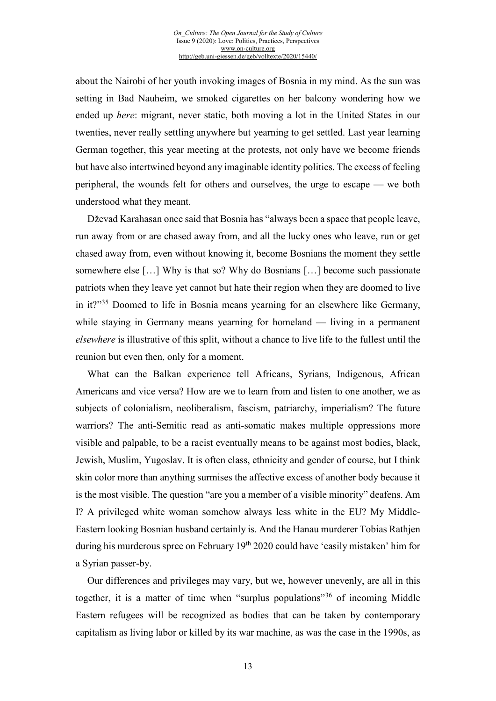about the Nairobi of her youth invoking images of Bosnia in my mind. As the sun was setting in Bad Nauheim, we smoked cigarettes on her balcony wondering how we ended up *here*: migrant, never static, both moving a lot in the United States in our twenties, never really settling anywhere but yearning to get settled. Last year learning German together, this year meeting at the protests, not only have we become friends but have also intertwined beyond any imaginable identity politics. The excess of feeling peripheral, the wounds felt for others and ourselves, the urge to escape — we both understood what they meant.

Dževad Karahasan once said that Bosnia has "always been a space that people leave, run away from or are chased away from, and all the lucky ones who leave, run or get chased away from, even without knowing it, become Bosnians the moment they settle somewhere else […] Why is that so? Why do Bosnians […] become such passionate patriots when they leave yet cannot but hate their region when they are doomed to live in it?"<sup>[35](#page-17-29)</sup> Doomed to life in Bosnia means yearning for an elsewhere like Germany, while staying in Germany means yearning for homeland — living in a permanent *elsewhere* is illustrative of this split, without a chance to live life to the fullest until the reunion but even then, only for a moment.

What can the Balkan experience tell Africans, Syrians, Indigenous, African Americans and vice versa? How are we to learn from and listen to one another, we as subjects of colonialism, neoliberalism, fascism, patriarchy, imperialism? The future warriors? The anti-Semitic read as anti-somatic makes multiple oppressions more visible and palpable, to be a racist eventually means to be against most bodies, black, Jewish, Muslim, Yugoslav. It is often class, ethnicity and gender of course, but I think skin color more than anything surmises the affective excess of another body because it is the most visible. The question "are you a member of a visible minority" deafens. Am I? A privileged white woman somehow always less white in the EU? My Middle-Eastern looking Bosnian husband certainly is. And the Hanau murderer Tobias Rathjen during his murderous spree on February  $19<sup>th</sup> 2020$  could have 'easily mistaken' him for a Syrian passer-by.

Our differences and privileges may vary, but we, however unevenly, are all in this together, it is a matter of time when "surplus populations"<sup>[36](#page-17-30)</sup> of incoming Middle Eastern refugees will be recognized as bodies that can be taken by contemporary capitalism as living labor or killed by its war machine, as was the case in the 1990s, as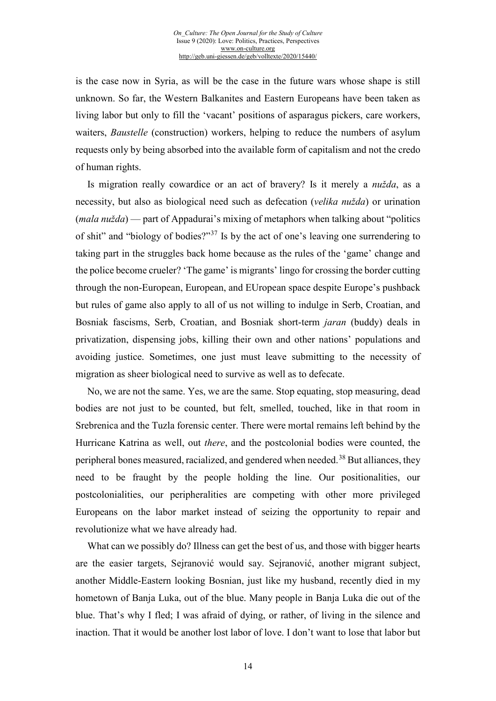is the case now in Syria, as will be the case in the future wars whose shape is still unknown. So far, the Western Balkanites and Eastern Europeans have been taken as living labor but only to fill the 'vacant' positions of asparagus pickers, care workers, waiters, *Baustelle* (construction) workers, helping to reduce the numbers of asylum requests only by being absorbed into the available form of capitalism and not the credo of human rights.

Is migration really cowardice or an act of bravery? Is it merely a *nužda*, as a necessity, but also as biological need such as defecation (*velika nužda*) or urination (*mala nužda*) — part of Appadurai's mixing of metaphors when talking about "politics of shit" and "biology of bodies?"[37](#page-17-31) Is by the act of one's leaving one surrendering to taking part in the struggles back home because as the rules of the 'game' change and the police become crueler? 'The game' is migrants' lingo for crossing the border cutting through the non-European, European, and EUropean space despite Europe's pushback but rules of game also apply to all of us not willing to indulge in Serb, Croatian, and Bosniak fascisms, Serb, Croatian, and Bosniak short-term *jaran* (buddy) deals in privatization, dispensing jobs, killing their own and other nations' populations and avoiding justice. Sometimes, one just must leave submitting to the necessity of migration as sheer biological need to survive as well as to defecate.

No, we are not the same. Yes, we are the same. Stop equating, stop measuring, dead bodies are not just to be counted, but felt, smelled, touched, like in that room in Srebrenica and the Tuzla forensic center. There were mortal remains left behind by the Hurricane Katrina as well, out *there*, and the postcolonial bodies were counted, the peripheral bones measured, racialized, and gendered when needed.<sup>[38](#page-17-32)</sup> But alliances, they need to be fraught by the people holding the line. Our positionalities, our postcolonialities, our peripheralities are competing with other more privileged Europeans on the labor market instead of seizing the opportunity to repair and revolutionize what we have already had.

What can we possibly do? Illness can get the best of us, and those with bigger hearts are the easier targets, Sejranović would say. Sejranović, another migrant subject, another Middle-Eastern looking Bosnian, just like my husband, recently died in my hometown of Banja Luka, out of the blue. Many people in Banja Luka die out of the blue. That's why I fled; I was afraid of dying, or rather, of living in the silence and inaction. That it would be another lost labor of love. I don't want to lose that labor but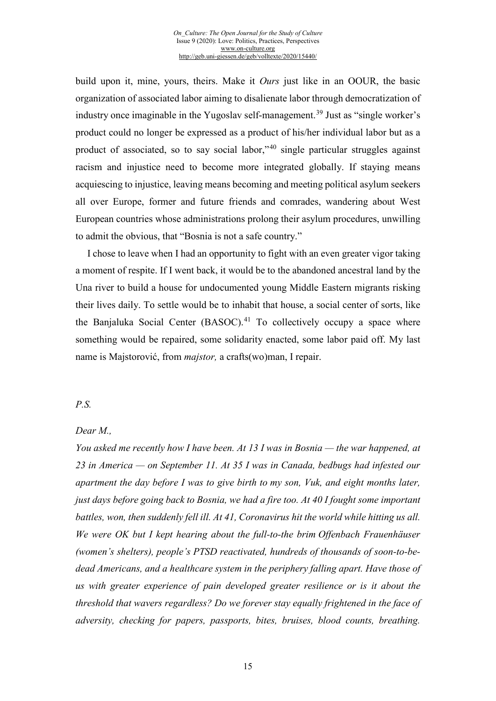build upon it, mine, yours, theirs. Make it *Ours* just like in an OOUR, the basic organization of associated labor aiming to disalienate labor through democratization of industry once imaginable in the Yugoslav self-management.<sup>[39](#page-17-33)</sup> Just as "single worker's product could no longer be expressed as a product of his/her individual labor but as a product of associated, so to say social labor,"[40](#page-17-34) single particular struggles against racism and injustice need to become more integrated globally. If staying means acquiescing to injustice, leaving means becoming and meeting political asylum seekers all over Europe, former and future friends and comrades, wandering about West European countries whose administrations prolong their asylum procedures, unwilling to admit the obvious, that "Bosnia is not a safe country."

I chose to leave when I had an opportunity to fight with an even greater vigor taking a moment of respite. If I went back, it would be to the abandoned ancestral land by the Una river to build a house for undocumented young Middle Eastern migrants risking their lives daily. To settle would be to inhabit that house, a social center of sorts, like the Banjaluka Social Center (BASOC).<sup>[41](#page-17-35)</sup> To collectively occupy a space where something would be repaired, some solidarity enacted, some labor paid off. My last name is Majstorović, from *majstor,* a crafts(wo)man, I repair.

#### *P.S.*

#### *Dear M.,*

*You asked me recently how I have been. At 13 I was in Bosnia — the war happened, at 23 in America — on September 11. At 35 I was in Canada, bedbugs had infested our apartment the day before I was to give birth to my son, Vuk, and eight months later, just days before going back to Bosnia, we had a fire too. At 40 I fought some important battles, won, then suddenly fell ill. At 41, Coronavirus hit the world while hitting us all. We were OK but I kept hearing about the full-to-the brim Offenbach Frauenhäuser (women's shelters), people's PTSD reactivated, hundreds of thousands of soon-to-bedead Americans, and a healthcare system in the periphery falling apart. Have those of us with greater experience of pain developed greater resilience or is it about the threshold that wavers regardless? Do we forever stay equally frightened in the face of adversity, checking for papers, passports, bites, bruises, blood counts, breathing.*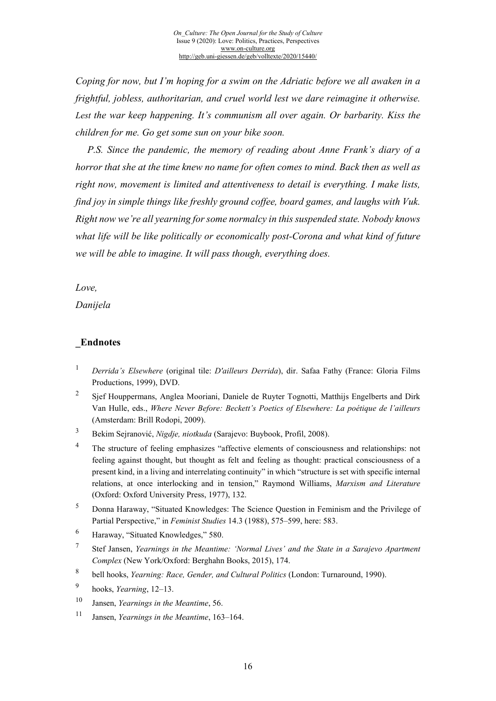*Coping for now, but I'm hoping for a swim on the Adriatic before we all awaken in a frightful, jobless, authoritarian, and cruel world lest we dare reimagine it otherwise. Lest the war keep happening. It's communism all over again. Or barbarity. Kiss the children for me. Go get some sun on your bike soon.* 

*P.S. Since the pandemic, the memory of reading about Anne Frank's diary of a horror that she at the time knew no name for often comes to mind. Back then as well as right now, movement is limited and attentiveness to detail is everything. I make lists, find joy in simple things like freshly ground coffee, board games, and laughs with Vuk. Right now we're all yearning for some normalcy in this suspended state. Nobody knows what life will be like politically or economically post-Corona and what kind of future we will be able to imagine. It will pass though, everything does.*

#### *Love,*

*Danijela*

### **\_Endnotes**

- <sup>1</sup> *Derrida's Elsewhere* (original tile: *D'ailleurs Derrida*), dir. Safaa Fathy (France: Gloria Films Productions, 1999), DVD.
- <sup>2</sup> Sjef Houppermans, Anglea Mooriani, Daniele de Ruyter Tognotti, Matthijs Engelberts and Dirk Van Hulle, eds., *Where Never Before: Beckett's Poetics of Elsewhere: La poétique de l'ailleurs* (Amsterdam: Brill Rodopi, 2009).
- <sup>3</sup> Bekim Sejranović, *Nigdje, niotkuda* (Sarajevo: Buybook, Profil, 2008).
- <sup>4</sup> The structure of feeling emphasizes "affective elements of consciousness and relationships: not feeling against thought, but thought as felt and feeling as thought: practical consciousness of a present kind, in a living and interrelating continuity" in which "structure is set with specific internal relations, at once interlocking and in tension," Raymond Williams, *Marxism and Literature* (Oxford: Oxford University Press, 1977), 132.
- <sup>5</sup> Donna Haraway, "Situated Knowledges: The Science Question in Feminism and the Privilege of Partial Perspective," in *Feminist Studies* 14.3 (1988), 575–599, here: 583.
- <sup>6</sup> Haraway, "Situated Knowledges," 580.
- <sup>7</sup> Stef Jansen, *Yearnings in the Meantime: 'Normal Lives' and the State in a Sarajevo Apartment Complex* (New York/Oxford: Berghahn Books, 2015), 174.
- <sup>8</sup> bell hooks, *Yearning: Race, Gender, and Cultural Politics* (London: Turnaround, 1990).
- <sup>9</sup> hooks, *Yearning*, 12–13.
- <sup>10</sup> Jansen, *Yearnings in the Meantime*, 56.
- <sup>11</sup> Jansen, *Yearnings in the Meantime*, 163–164.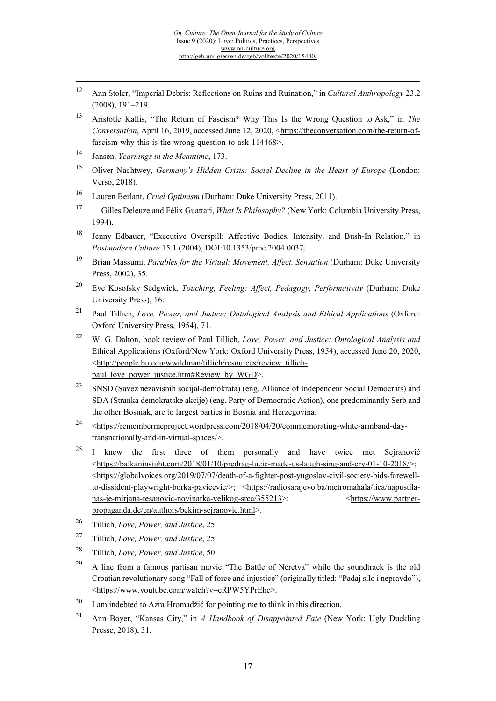- 12 Ann Stoler, "Imperial Debris: Reflections on Ruins and Ruination," in *Cultural Anthropology* 23.2 (2008), 191–219.
- <sup>13</sup> Aristotle Kallis, "The Return of Fascism? Why This Is the Wrong Question to Ask," in *The Conversation*, April 16, 2019, accessed June 12, 2020, [<https://theconversation.com/the-return-of](https://theconversation.com/the-return-of-fascism-why-this-is-the-wrong-question-to-ask-114468)fascism-why[-this-is-the-](https://theconversation.com/the-return-of-fascism-why-this-is-the-wrong-question-to-ask-114468)wrong-question-to-ask-114468>.
- <sup>14</sup> Jansen, *Yearnings in the Meantime*, 173.
- <sup>15</sup> Oliver Nachtwey, *Germany's Hidden Crisis: Social Decline in the Heart of Europe* (London: Verso, 2018).
- <sup>16</sup> Lauren Berlant, *Cruel Optimism* (Durham: Duke University Press, 2011).
- 17 Gilles Deleuze and Félix Guattari, *What Is Philosophy?* (New York: Columbia University Press, 1994).
- <sup>18</sup> Jenny Edbauer, "Executive Overspill: Affective Bodies, Intensity, and Bush-In Relation," in *Postmodern Culture* 15.1 (2004), [DOI:10.1353/pmc.2004.0037.](http://doi.org/10.1353/pmc.2004.0037)
- <sup>19</sup> Brian Massumi, *Parables for the Virtual: Movement, Affect, Sensation* (Durham: Duke University Press, 2002), 35.
- <sup>20</sup> Eve Kosofsky Sedgwick, *Touching, Feeling: Affect, Pedagogy, Performativity* (Durham: Duke University Press), 16.
- <sup>21</sup> Paul Tillich, *Love, Power, and Justice: Ontological Analysis and Ethical Applications* (Oxford: Oxford University Press, 1954), 71.
- <sup>22</sup> W. G. Dalton, book review of Paul Tillich, *Love, Power, and Justice: Ontological Analysis and*  Ethical Applications (Oxford/New York: Oxford University Press, 1954), accessed June 20, 2020, <[http://people.bu.edu/wwildman/tillich/resources/review\\_tillich](http://people.bu.edu/wwildman/tillich/resources/review_tillich-paul_love_power_justice.htm#Review_by_WGD)[paul\\_love\\_power\\_justice.htm#Review\\_by\\_WGD](http://people.bu.edu/wwildman/tillich/resources/review_tillich-paul_love_power_justice.htm#Review_by_WGD)>.
- <span id="page-16-1"></span><span id="page-16-0"></span><sup>23</sup> SNSD (Savez nezavisnih socijal-demokrata) (eng. Alliance of Independent Social Democrats) and SDA (Stranka demokratske akcije) (eng. Party of Democratic Action), one predominantly Serb and the other Bosniak, are to largest parties in Bosnia and Herzegovina.
- <span id="page-16-2"></span><sup>24</sup> <[https://remembermeproject.wordpress.com/2018/04/20/commemorating](https://remembermeproject.wordpress.com/2018/04/20/commemorating-white-armband-day-transnationally-and-in-virtual-spaces/)-white-armband-daytransnationally[-and-in-virtual-spaces/>](https://remembermeproject.wordpress.com/2018/04/20/commemorating-white-armband-day-transnationally-and-in-virtual-spaces/).
- <span id="page-16-3"></span><sup>25</sup> I knew the first three of them personally and have twice met Sejranović <[https://balkaninsight.com/2018/01/10/predrag](https://balkaninsight.com/2018/01/10/predrag-lucic-made-us-laugh-sing-and-cry-01-10-2018/)-lucic-made-us-laugh-sing-and-cry-01-10-2018/>;  $\langle \frac{\text{https://globalvoices.org/2019/07/07/death-of-a-fighter-post-vugoslav-civil-society-bids-farewell-$ to-dissident-playwright[-borka-pavicevic/>](https://globalvoices.org/2019/07/07/death-of-a-fighter-post-yugoslav-civil-society-bids-farewell-to-dissident-playwright-borka-pavicevic/); [<https://radiosarajevo.ba/metromahala/lica/napustila](https://radiosarajevo.ba/metromahala/lica/napustila-nas-je-mirjana-tesanovic-novinarka-velikog-srca/355213)[nas-je-mirjana-tesanovic-novinarka-velikog-srca/355213>](https://radiosarajevo.ba/metromahala/lica/napustila-nas-je-mirjana-tesanovic-novinarka-velikog-srca/355213); <[https://www.partner](https://www.partner-propaganda.de/en/authors/bekim-sejranovic.html)[propaganda.de/en/authors/bekim-sejranovic.html>](https://www.partner-propaganda.de/en/authors/bekim-sejranovic.html).
- <sup>26</sup> Tillich, *Love, Power, and Justice*, 25.
- <sup>27</sup> Tillich, *Love, Power, and Justice*, 25.
- <sup>28</sup> Tillich, *Love, Power, and Justice*, 50.
- $29$  A line from a famous partisan movie "The Battle of Neretva" while the soundtrack is the old Croatian revolutionary song "Fall of force and injustice" (originally titled: "Padaj silo i nepravdo"), <<https://www.youtube.com/watch?v=cRPW5YPrEhc>>.
- $30$  I am indebted to Azra Hromadžić for pointing me to think in this direction.
- <sup>31</sup> Ann Boyer, "Kansas City," in *A Handbook of Disappointed Fate* (New York: Ugly Duckling Presse, 2018), 31.